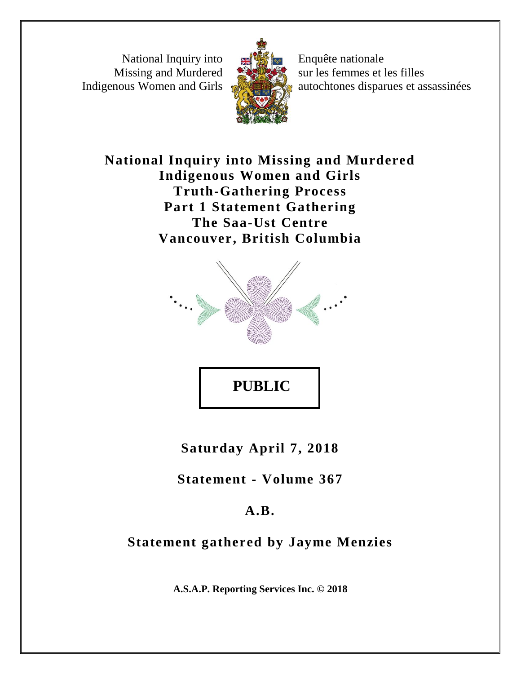National Inquiry into Missing and Murdered Indigenous Women and Girls



Enquête nationale sur les femmes et les filles autochtones disparues et assassinées

## **National Inquiry into Missing and Murdered Indigenous Women and Girls Truth-Gathering Process Part 1 Statement Gathering The Saa-Ust Centre Vancouver, British Columbia**



**Saturday April 7, 2018**

**Statement - Volume 367**

# **A.B.**

# **Statement gathered by Jayme Menzies**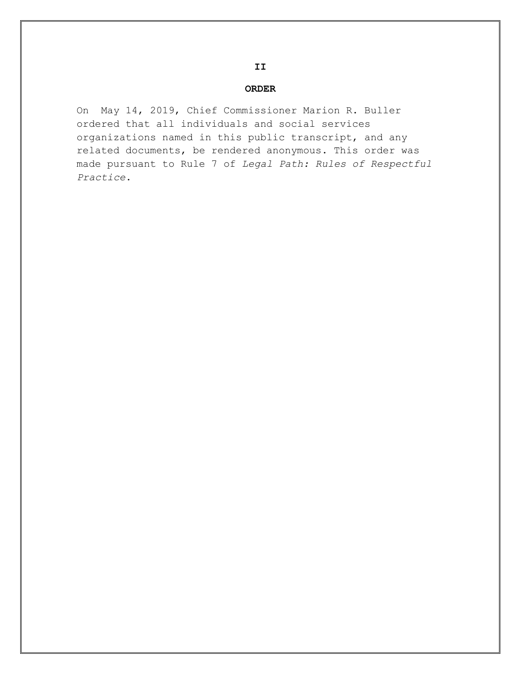#### **ORDER**

On May 14, 2019, Chief Commissioner Marion R. Buller ordered that all individuals and social services organizations named in this public transcript, and any related documents, be rendered anonymous. This order was made pursuant to Rule 7 of *Legal Path: Rules of Respectful Practice*.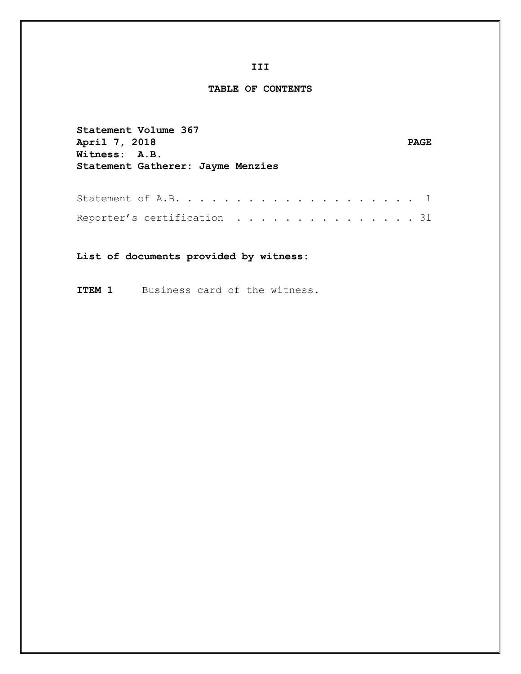#### **TABLE OF CONTENTS**

**Statement Volume 367 April 7, 2018** PAGE **Witness: A.B. Statement Gatherer: Jayme Menzies** Statement of A.B. . . . . . . . . . . . . . . . . . . . 1

Reporter's certification . . . . . . . . . . . . . . 31

**List of documents provided by witness:**

**ITEM 1** Business card of the witness.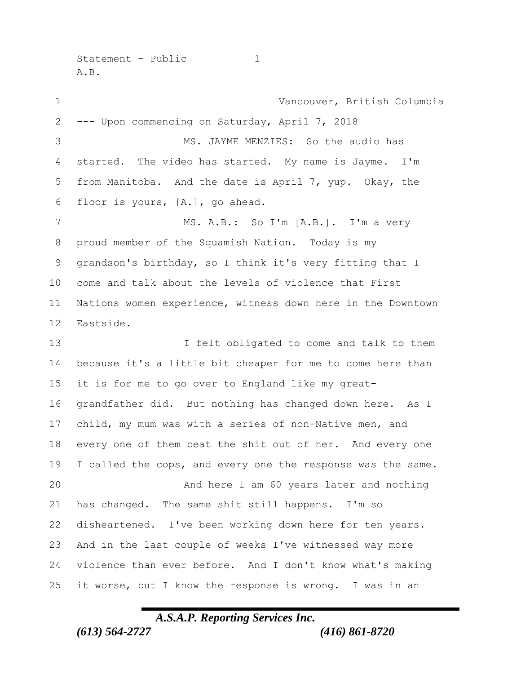Statement - Public 1 A.B.

 Vancouver, British Columbia --- Upon commencing on Saturday, April 7, 2018 MS. JAYME MENZIES: So the audio has started. The video has started. My name is Jayme. I'm from Manitoba. And the date is April 7, yup. Okay, the floor is yours, [A.], go ahead. MS. A.B.: So I'm [A.B.]. I'm a very proud member of the Squamish Nation. Today is my grandson's birthday, so I think it's very fitting that I come and talk about the levels of violence that First Nations women experience, witness down here in the Downtown Eastside. I felt obligated to come and talk to them because it's a little bit cheaper for me to come here than it is for me to go over to England like my great- grandfather did. But nothing has changed down here. As I child, my mum was with a series of non-Native men, and every one of them beat the shit out of her. And every one 19 I called the cops, and every one the response was the same. And here I am 60 years later and nothing has changed. The same shit still happens. I'm so disheartened. I've been working down here for ten years. And in the last couple of weeks I've witnessed way more violence than ever before. And I don't know what's making it worse, but I know the response is wrong. I was in an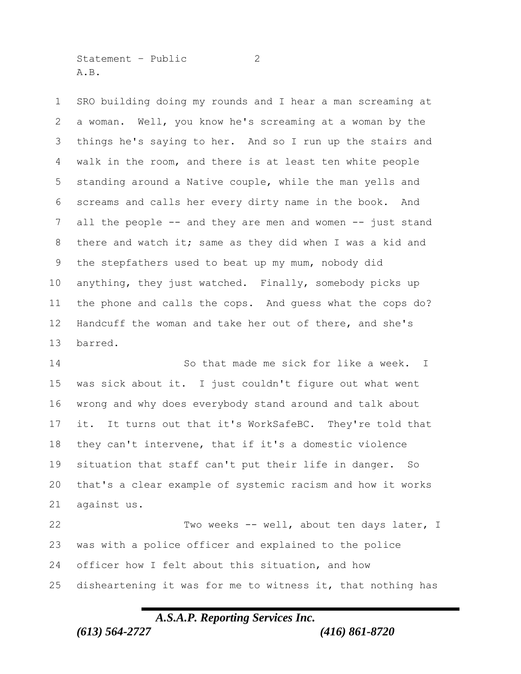Statement - Public 2 A.B.

 SRO building doing my rounds and I hear a man screaming at a woman. Well, you know he's screaming at a woman by the things he's saying to her. And so I run up the stairs and walk in the room, and there is at least ten white people standing around a Native couple, while the man yells and screams and calls her every dirty name in the book. And 7 all the people -- and they are men and women -- just stand there and watch it; same as they did when I was a kid and the stepfathers used to beat up my mum, nobody did anything, they just watched. Finally, somebody picks up the phone and calls the cops. And guess what the cops do? Handcuff the woman and take her out of there, and she's barred.

 So that made me sick for like a week. I was sick about it. I just couldn't figure out what went wrong and why does everybody stand around and talk about it. It turns out that it's WorkSafeBC. They're told that they can't intervene, that if it's a domestic violence situation that staff can't put their life in danger. So that's a clear example of systemic racism and how it works against us.

 Two weeks -- well, about ten days later, I was with a police officer and explained to the police officer how I felt about this situation, and how disheartening it was for me to witness it, that nothing has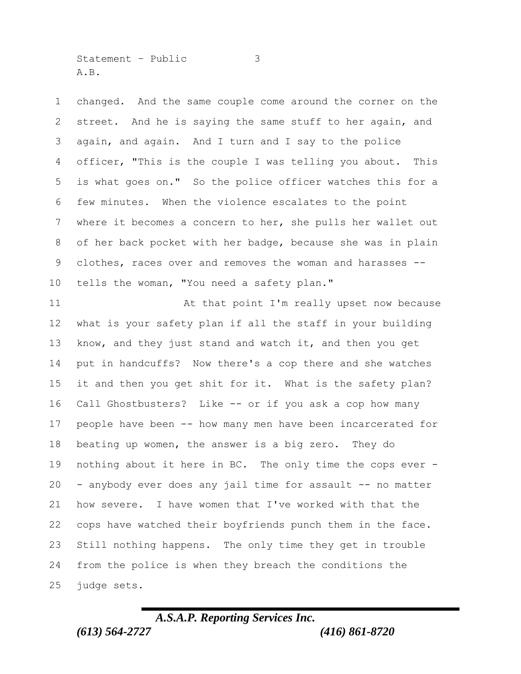Statement – Public 3 A.B.

 changed. And the same couple come around the corner on the street. And he is saying the same stuff to her again, and again, and again. And I turn and I say to the police officer, "This is the couple I was telling you about. This is what goes on." So the police officer watches this for a few minutes. When the violence escalates to the point where it becomes a concern to her, she pulls her wallet out of her back pocket with her badge, because she was in plain clothes, races over and removes the woman and harasses -- tells the woman, "You need a safety plan."

 At that point I'm really upset now because what is your safety plan if all the staff in your building know, and they just stand and watch it, and then you get put in handcuffs? Now there's a cop there and she watches it and then you get shit for it. What is the safety plan? Call Ghostbusters? Like -- or if you ask a cop how many people have been -- how many men have been incarcerated for beating up women, the answer is a big zero. They do nothing about it here in BC. The only time the cops ever - - anybody ever does any jail time for assault -- no matter how severe. I have women that I've worked with that the 22 cops have watched their boyfriends punch them in the face. Still nothing happens. The only time they get in trouble from the police is when they breach the conditions the judge sets.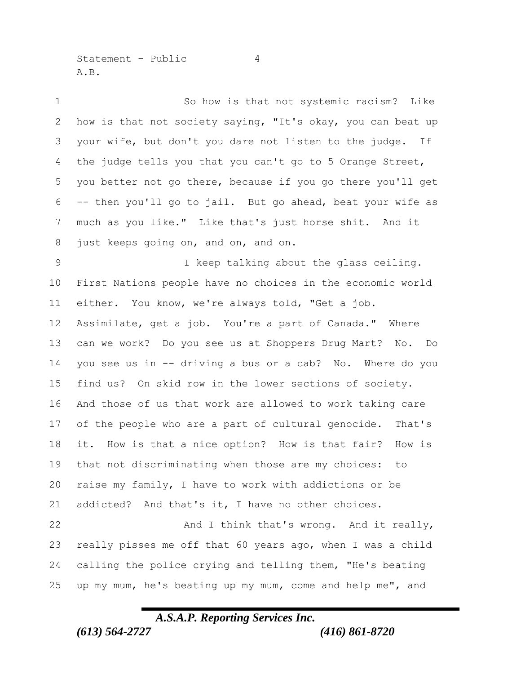Statement – Public 4 A.B.

1 So how is that not systemic racism? Like how is that not society saying, "It's okay, you can beat up your wife, but don't you dare not listen to the judge. If the judge tells you that you can't go to 5 Orange Street, you better not go there, because if you go there you'll get -- then you'll go to jail. But go ahead, beat your wife as much as you like." Like that's just horse shit. And it just keeps going on, and on, and on. I keep talking about the glass ceiling. First Nations people have no choices in the economic world either. You know, we're always told, "Get a job. Assimilate, get a job. You're a part of Canada." Where can we work? Do you see us at Shoppers Drug Mart? No. Do you see us in -- driving a bus or a cab? No. Where do you find us? On skid row in the lower sections of society. And those of us that work are allowed to work taking care of the people who are a part of cultural genocide. That's it. How is that a nice option? How is that fair? How is that not discriminating when those are my choices: to raise my family, I have to work with addictions or be addicted? And that's it, I have no other choices. And I think that's wrong. And it really, really pisses me off that 60 years ago, when I was a child calling the police crying and telling them, "He's beating up my mum, he's beating up my mum, come and help me", and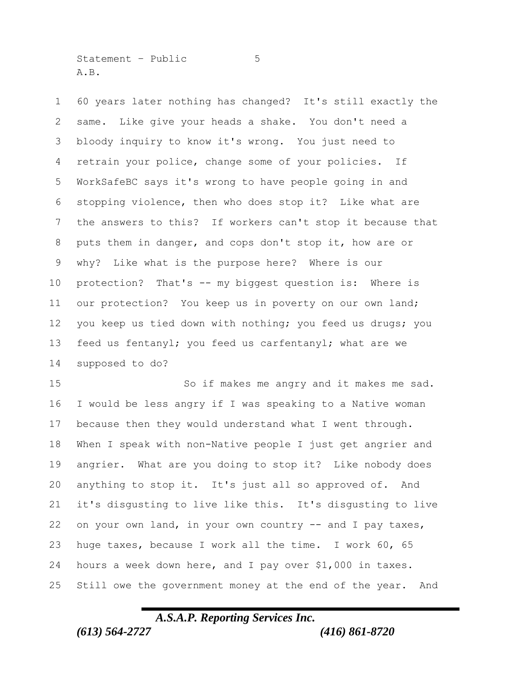Statement – Public 5 A.B.

 60 years later nothing has changed? It's still exactly the same. Like give your heads a shake. You don't need a bloody inquiry to know it's wrong. You just need to retrain your police, change some of your policies. If WorkSafeBC says it's wrong to have people going in and stopping violence, then who does stop it? Like what are the answers to this? If workers can't stop it because that puts them in danger, and cops don't stop it, how are or why? Like what is the purpose here? Where is our protection? That's -- my biggest question is: Where is our protection? You keep us in poverty on our own land; you keep us tied down with nothing; you feed us drugs; you feed us fentanyl; you feed us carfentanyl; what are we supposed to do?

 So if makes me angry and it makes me sad. I would be less angry if I was speaking to a Native woman because then they would understand what I went through. When I speak with non-Native people I just get angrier and angrier. What are you doing to stop it? Like nobody does anything to stop it. It's just all so approved of. And it's disgusting to live like this. It's disgusting to live on your own land, in your own country -- and I pay taxes, huge taxes, because I work all the time. I work 60, 65 hours a week down here, and I pay over \$1,000 in taxes. Still owe the government money at the end of the year. And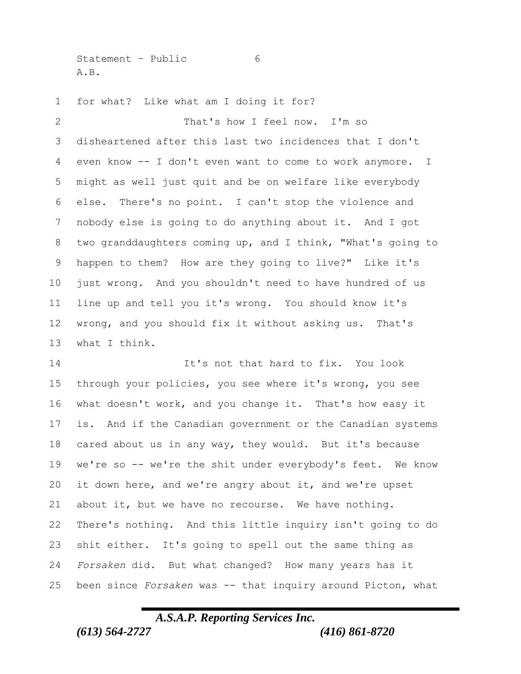Statement – Public 6 A.B.

for what? Like what am I doing it for?

 That's how I feel now. I'm so disheartened after this last two incidences that I don't even know -- I don't even want to come to work anymore. I might as well just quit and be on welfare like everybody else. There's no point. I can't stop the violence and nobody else is going to do anything about it. And I got two granddaughters coming up, and I think, "What's going to happen to them? How are they going to live?" Like it's just wrong. And you shouldn't need to have hundred of us line up and tell you it's wrong. You should know it's wrong, and you should fix it without asking us. That's what I think.

 It's not that hard to fix. You look through your policies, you see where it's wrong, you see what doesn't work, and you change it. That's how easy it is. And if the Canadian government or the Canadian systems cared about us in any way, they would. But it's because we're so -- we're the shit under everybody's feet. We know it down here, and we're angry about it, and we're upset about it, but we have no recourse. We have nothing. There's nothing. And this little inquiry isn't going to do shit either. It's going to spell out the same thing as *Forsaken* did. But what changed? How many years has it been since *Forsaken* was -- that inquiry around Picton, what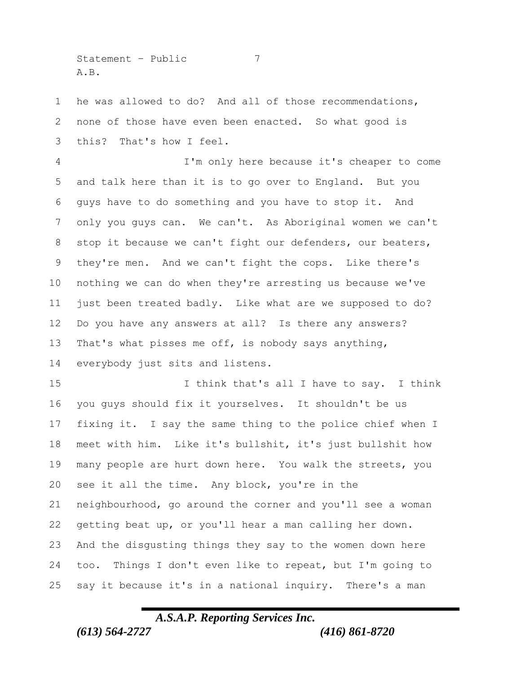$Statement - Public$   $7$ A.B.

 he was allowed to do? And all of those recommendations, none of those have even been enacted. So what good is this? That's how I feel.

 I'm only here because it's cheaper to come and talk here than it is to go over to England. But you guys have to do something and you have to stop it. And only you guys can. We can't. As Aboriginal women we can't stop it because we can't fight our defenders, our beaters, they're men. And we can't fight the cops. Like there's nothing we can do when they're arresting us because we've just been treated badly. Like what are we supposed to do? Do you have any answers at all? Is there any answers? That's what pisses me off, is nobody says anything, everybody just sits and listens.

15 I think that's all I have to say. I think you guys should fix it yourselves. It shouldn't be us fixing it. I say the same thing to the police chief when I meet with him. Like it's bullshit, it's just bullshit how many people are hurt down here. You walk the streets, you see it all the time. Any block, you're in the neighbourhood, go around the corner and you'll see a woman getting beat up, or you'll hear a man calling her down. And the disgusting things they say to the women down here too. Things I don't even like to repeat, but I'm going to say it because it's in a national inquiry. There's a man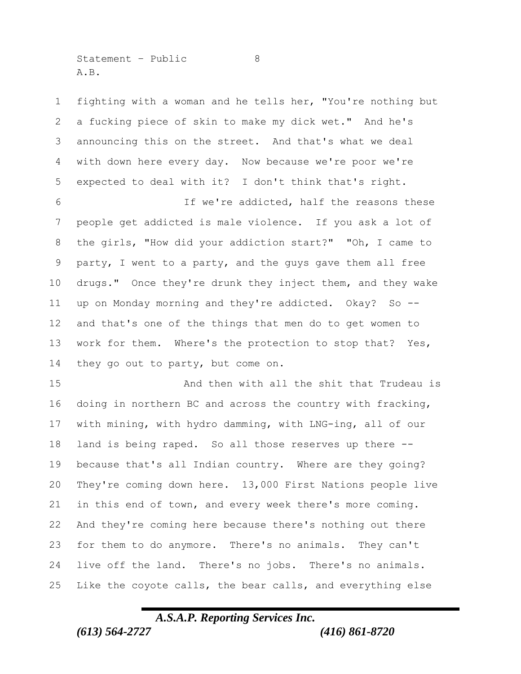Statement - Public 8 A.B.

 fighting with a woman and he tells her, "You're nothing but a fucking piece of skin to make my dick wet." And he's announcing this on the street. And that's what we deal with down here every day. Now because we're poor we're expected to deal with it? I don't think that's right.

 If we're addicted, half the reasons these people get addicted is male violence. If you ask a lot of the girls, "How did your addiction start?" "Oh, I came to party, I went to a party, and the guys gave them all free drugs." Once they're drunk they inject them, and they wake up on Monday morning and they're addicted. Okay? So -- and that's one of the things that men do to get women to work for them. Where's the protection to stop that? Yes, 14 they go out to party, but come on.

 And then with all the shit that Trudeau is doing in northern BC and across the country with fracking, with mining, with hydro damming, with LNG-ing, all of our land is being raped. So all those reserves up there -- because that's all Indian country. Where are they going? They're coming down here. 13,000 First Nations people live in this end of town, and every week there's more coming. And they're coming here because there's nothing out there for them to do anymore. There's no animals. They can't live off the land. There's no jobs. There's no animals. Like the coyote calls, the bear calls, and everything else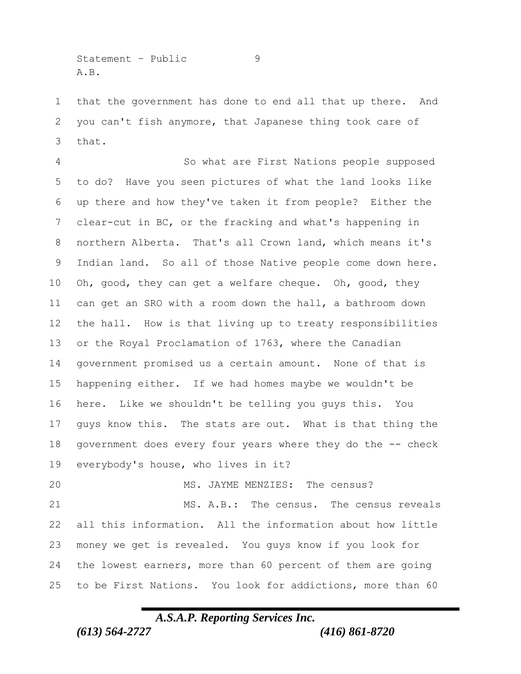Statement – Public 9 A.B.

 that the government has done to end all that up there. And you can't fish anymore, that Japanese thing took care of that.

 So what are First Nations people supposed to do? Have you seen pictures of what the land looks like up there and how they've taken it from people? Either the clear-cut in BC, or the fracking and what's happening in northern Alberta. That's all Crown land, which means it's Indian land. So all of those Native people come down here. Oh, good, they can get a welfare cheque. Oh, good, they can get an SRO with a room down the hall, a bathroom down the hall. How is that living up to treaty responsibilities or the Royal Proclamation of 1763, where the Canadian government promised us a certain amount. None of that is happening either. If we had homes maybe we wouldn't be here. Like we shouldn't be telling you guys this. You guys know this. The stats are out. What is that thing the government does every four years where they do the -- check everybody's house, who lives in it?

 MS. JAYME MENZIES: The census? 21 MS. A.B.: The census. The census reveals all this information. All the information about how little money we get is revealed. You guys know if you look for the lowest earners, more than 60 percent of them are going to be First Nations. You look for addictions, more than 60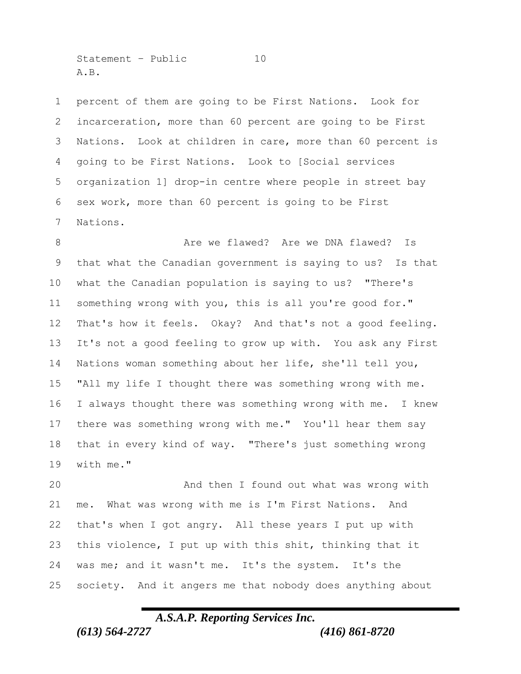Statement - Public 10 A.B.

 percent of them are going to be First Nations. Look for incarceration, more than 60 percent are going to be First Nations. Look at children in care, more than 60 percent is going to be First Nations. Look to [Social services organization 1] drop-in centre where people in street bay sex work, more than 60 percent is going to be First Nations.

8 Are we flawed? Are we DNA flawed? Is that what the Canadian government is saying to us? Is that what the Canadian population is saying to us? "There's something wrong with you, this is all you're good for." That's how it feels. Okay? And that's not a good feeling. It's not a good feeling to grow up with. You ask any First Nations woman something about her life, she'll tell you, "All my life I thought there was something wrong with me. I always thought there was something wrong with me. I knew there was something wrong with me." You'll hear them say that in every kind of way. "There's just something wrong with me."

 And then I found out what was wrong with me. What was wrong with me is I'm First Nations. And that's when I got angry. All these years I put up with this violence, I put up with this shit, thinking that it was me; and it wasn't me. It's the system. It's the society. And it angers me that nobody does anything about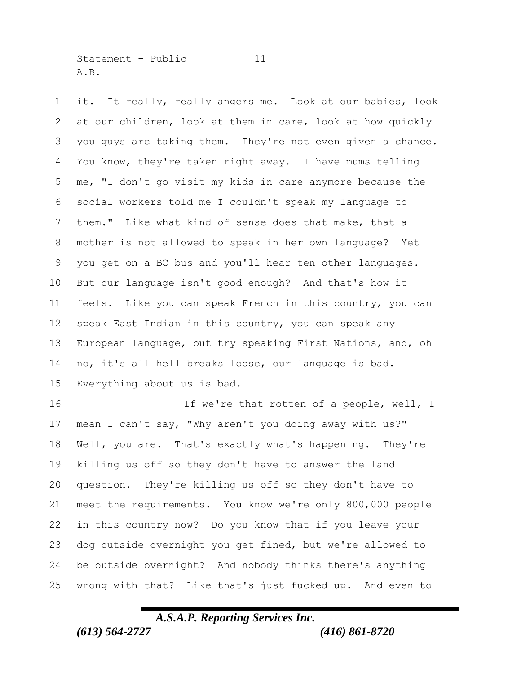Statement - Public 11 A.B.

 it. It really, really angers me. Look at our babies, look at our children, look at them in care, look at how quickly you guys are taking them. They're not even given a chance. You know, they're taken right away. I have mums telling me, "I don't go visit my kids in care anymore because the social workers told me I couldn't speak my language to them." Like what kind of sense does that make, that a mother is not allowed to speak in her own language? Yet you get on a BC bus and you'll hear ten other languages. But our language isn't good enough? And that's how it feels. Like you can speak French in this country, you can speak East Indian in this country, you can speak any European language, but try speaking First Nations, and, oh no, it's all hell breaks loose, our language is bad. Everything about us is bad.

16 16 If we're that rotten of a people, well, I mean I can't say, "Why aren't you doing away with us?" Well, you are. That's exactly what's happening. They're killing us off so they don't have to answer the land question. They're killing us off so they don't have to meet the requirements. You know we're only 800,000 people in this country now? Do you know that if you leave your dog outside overnight you get fined, but we're allowed to be outside overnight? And nobody thinks there's anything wrong with that? Like that's just fucked up. And even to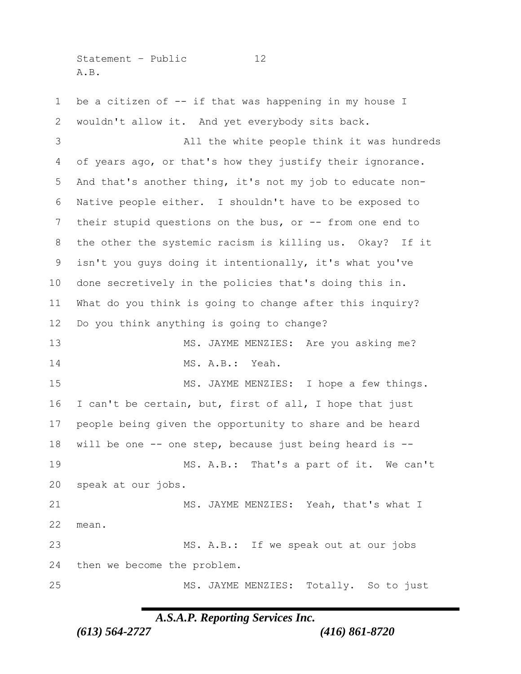Statement - Public 12 A.B.

1 be a citizen of -- if that was happening in my house I wouldn't allow it. And yet everybody sits back. All the white people think it was hundreds of years ago, or that's how they justify their ignorance. And that's another thing, it's not my job to educate non- Native people either. I shouldn't have to be exposed to their stupid questions on the bus, or -- from one end to the other the systemic racism is killing us. Okay? If it isn't you guys doing it intentionally, it's what you've done secretively in the policies that's doing this in. What do you think is going to change after this inquiry? Do you think anything is going to change? 13 MS. JAYME MENZIES: Are you asking me? MS. A.B.: Yeah. 15 MS. JAYME MENZIES: I hope a few things. I can't be certain, but, first of all, I hope that just people being given the opportunity to share and be heard will be one -- one step, because just being heard is -- MS. A.B.: That's a part of it. We can't speak at our jobs. 21 MS. JAYME MENZIES: Yeah, that's what I mean. MS. A.B.: If we speak out at our jobs then we become the problem. MS. JAYME MENZIES: Totally. So to just

*A.S.A.P. Reporting Services Inc.*

*(613) 564-2727 (416) 861-8720*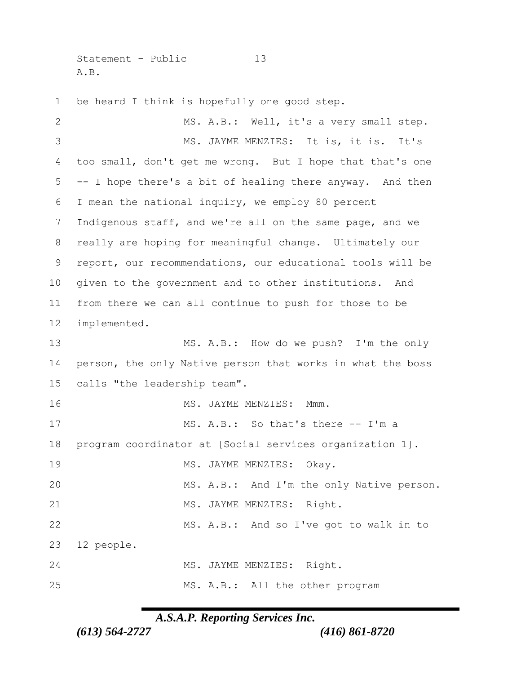Statement - Public 13 A.B.

be heard I think is hopefully one good step.

| $\mathbf{2}$ | MS. A.B.: Well, it's a very small step.                    |
|--------------|------------------------------------------------------------|
| 3            | MS. JAYME MENZIES: It is, it is. It's                      |
| 4            | too small, don't get me wrong. But I hope that that's one  |
| 5            | -- I hope there's a bit of healing there anyway. And then  |
| 6            | I mean the national inquiry, we employ 80 percent          |
| 7            | Indigenous staff, and we're all on the same page, and we   |
| $\,8\,$      | really are hoping for meaningful change. Ultimately our    |
| $\mathsf 9$  | report, our recommendations, our educational tools will be |
| 10           | given to the government and to other institutions. And     |
| 11           | from there we can all continue to push for those to be     |
| 12           | implemented.                                               |
| 13           | MS. A.B.: How do we push? I'm the only                     |
| 14           | person, the only Native person that works in what the boss |
| 15           | calls "the leadership team".                               |
| 16           | MS. JAYME MENZIES: Mmm.                                    |
| 17           | MS. A.B.: So that's there -- I'm a                         |
| 18           | program coordinator at [Social services organization 1].   |
| 19           | MS. JAYME MENZIES: Okay.                                   |
| 20           | MS. A.B.: And I'm the only Native person.                  |
| 21           | MS. JAYME MENZIES: Right.                                  |
| 22           | MS. A.B.: And so I've got to walk in to                    |
| 23           | 12 people.                                                 |
| 24           | MS. JAYME MENZIES: Right.                                  |
| 25           | MS. A.B.: All the other program                            |

*A.S.A.P. Reporting Services Inc.*

*(613) 564-2727 (416) 861-8720*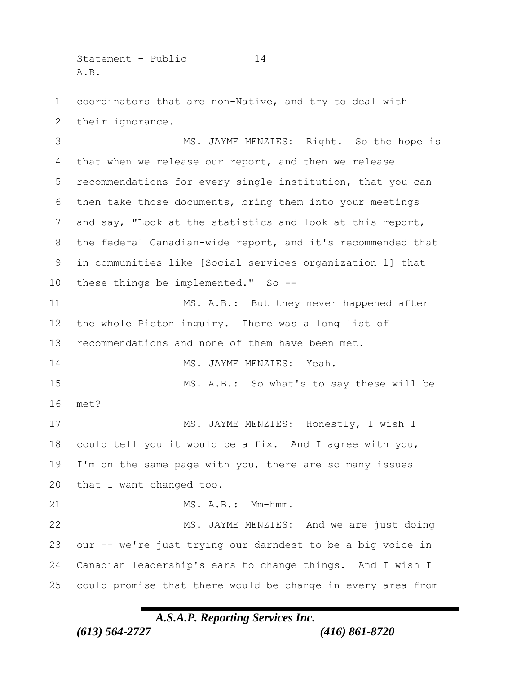Statement - Public 14 A.B.

 coordinators that are non-Native, and try to deal with their ignorance.

 MS. JAYME MENZIES: Right. So the hope is that when we release our report, and then we release recommendations for every single institution, that you can then take those documents, bring them into your meetings and say, "Look at the statistics and look at this report, the federal Canadian-wide report, and it's recommended that in communities like [Social services organization 1] that these things be implemented." So -- MS. A.B.: But they never happened after the whole Picton inquiry. There was a long list of recommendations and none of them have been met. 14 MS. JAYME MENZIES: Yeah. MS. A.B.: So what's to say these will be met? 17 MS. JAYME MENZIES: Honestly, I wish I could tell you it would be a fix. And I agree with you, I'm on the same page with you, there are so many issues that I want changed too. 21 MS. A.B.: Mm-hmm. MS. JAYME MENZIES: And we are just doing our -- we're just trying our darndest to be a big voice in Canadian leadership's ears to change things. And I wish I could promise that there would be change in every area from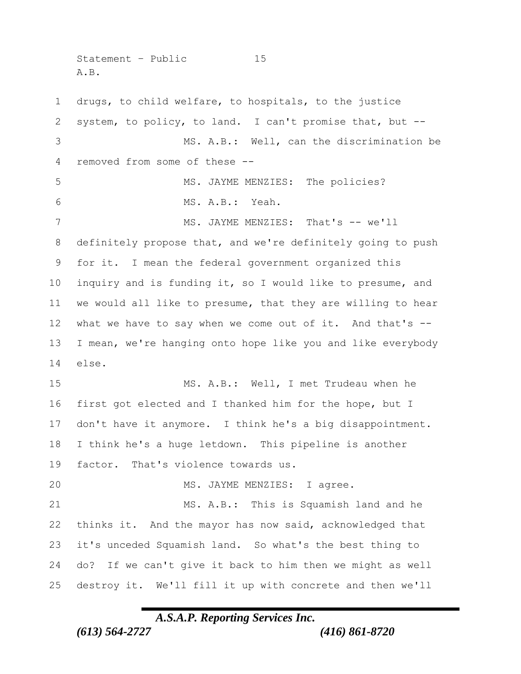Statement - Public 15 A.B.

 drugs, to child welfare, to hospitals, to the justice system, to policy, to land. I can't promise that, but -- MS. A.B.: Well, can the discrimination be removed from some of these -- 5 MS. JAYME MENZIES: The policies? MS. A.B.: Yeah. 7 MS. JAYME MENZIES: That's -- we'll definitely propose that, and we're definitely going to push for it. I mean the federal government organized this inquiry and is funding it, so I would like to presume, and we would all like to presume, that they are willing to hear what we have to say when we come out of it. And that's -- I mean, we're hanging onto hope like you and like everybody else. MS. A.B.: Well, I met Trudeau when he first got elected and I thanked him for the hope, but I don't have it anymore. I think he's a big disappointment. I think he's a huge letdown. This pipeline is another factor. That's violence towards us. 20 MS. JAYME MENZIES: I agree. MS. A.B.: This is Squamish land and he thinks it. And the mayor has now said, acknowledged that it's unceded Squamish land. So what's the best thing to do? If we can't give it back to him then we might as well destroy it. We'll fill it up with concrete and then we'll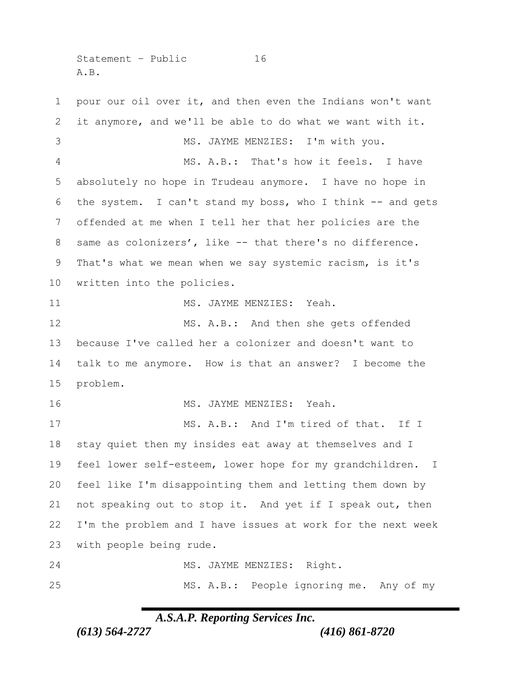Statement - Public 16 A.B.

 pour our oil over it, and then even the Indians won't want it anymore, and we'll be able to do what we want with it. MS. JAYME MENZIES: I'm with you. MS. A.B.: That's how it feels. I have absolutely no hope in Trudeau anymore. I have no hope in the system. I can't stand my boss, who I think -- and gets offended at me when I tell her that her policies are the 8 same as colonizers', like -- that there's no difference. That's what we mean when we say systemic racism, is it's written into the policies. 11 MS. JAYME MENZIES: Yeah. MS. A.B.: And then she gets offended because I've called her a colonizer and doesn't want to talk to me anymore. How is that an answer? I become the problem. 16 MS. JAYME MENZIES: Yeah. 17 MS. A.B.: And I'm tired of that. If I stay quiet then my insides eat away at themselves and I feel lower self-esteem, lower hope for my grandchildren. I feel like I'm disappointing them and letting them down by not speaking out to stop it. And yet if I speak out, then I'm the problem and I have issues at work for the next week with people being rude. MS. JAYME MENZIES: Right. MS. A.B.: People ignoring me. Any of my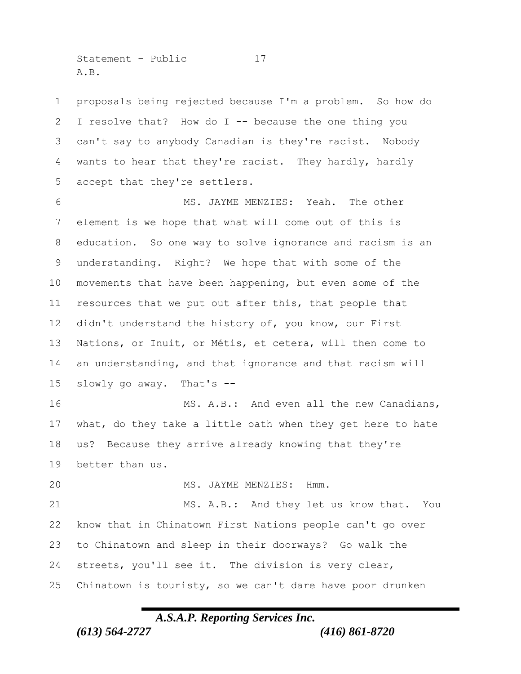Statement – Public 17 A.B.

 proposals being rejected because I'm a problem. So how do I resolve that? How do I -- because the one thing you can't say to anybody Canadian is they're racist. Nobody wants to hear that they're racist. They hardly, hardly accept that they're settlers.

 MS. JAYME MENZIES: Yeah. The other element is we hope that what will come out of this is education. So one way to solve ignorance and racism is an understanding. Right? We hope that with some of the movements that have been happening, but even some of the resources that we put out after this, that people that didn't understand the history of, you know, our First Nations, or Inuit, or Métis, et cetera, will then come to an understanding, and that ignorance and that racism will slowly go away. That's --

16 MS. A.B.: And even all the new Canadians, what, do they take a little oath when they get here to hate us? Because they arrive already knowing that they're better than us.

20 MS. JAYME MENZIES: Hmm.

 MS. A.B.: And they let us know that. You know that in Chinatown First Nations people can't go over to Chinatown and sleep in their doorways? Go walk the streets, you'll see it. The division is very clear, Chinatown is touristy, so we can't dare have poor drunken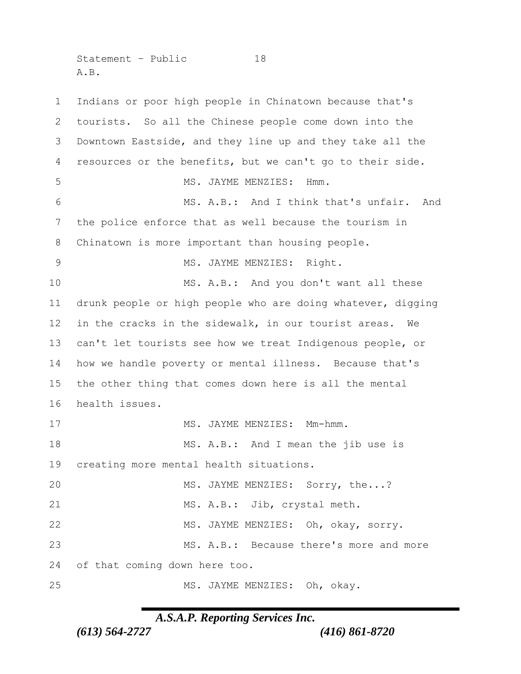Statement - Public 18 A.B.

 Indians or poor high people in Chinatown because that's tourists. So all the Chinese people come down into the Downtown Eastside, and they line up and they take all the resources or the benefits, but we can't go to their side. 5 MS. JAYME MENZIES: Hmm. MS. A.B.: And I think that's unfair. And the police enforce that as well because the tourism in Chinatown is more important than housing people. 9 MS. JAYME MENZIES: Right. MS. A.B.: And you don't want all these drunk people or high people who are doing whatever, digging in the cracks in the sidewalk, in our tourist areas. We can't let tourists see how we treat Indigenous people, or how we handle poverty or mental illness. Because that's the other thing that comes down here is all the mental health issues. 17 MS. JAYME MENZIES: Mm-hmm. 18 MS. A.B.: And I mean the jib use is creating more mental health situations. MS. JAYME MENZIES: Sorry, the...? 21 MS. A.B.: Jib, crystal meth. MS. JAYME MENZIES: Oh, okay, sorry. MS. A.B.: Because there's more and more of that coming down here too. 25 MS. JAYME MENZIES: Oh, okay.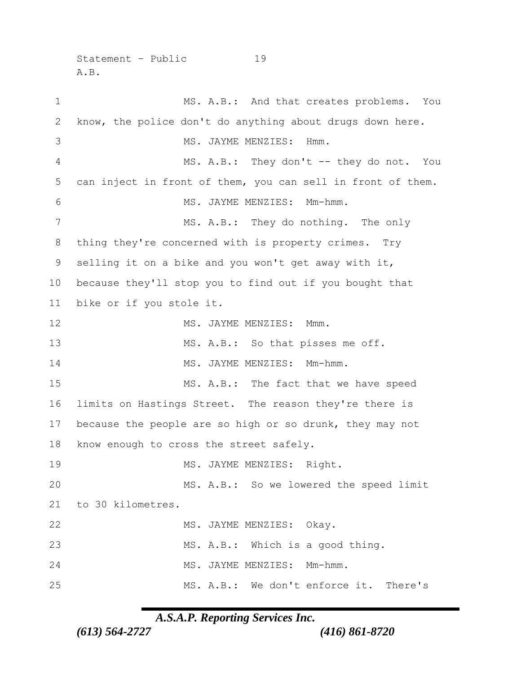Statement – Public 19 A.B.

1 MS. A.B.: And that creates problems. You know, the police don't do anything about drugs down here. 3 MS. JAYME MENZIES: Hmm. MS. A.B.: They don't -- they do not. You can inject in front of them, you can sell in front of them. 6 MS. JAYME MENZIES: Mm-hmm. MS. A.B.: They do nothing. The only thing they're concerned with is property crimes. Try selling it on a bike and you won't get away with it, because they'll stop you to find out if you bought that bike or if you stole it. 12 MS. JAYME MENZIES: Mmm. 13 MS. A.B.: So that pisses me off. 14 MS. JAYME MENZIES: Mm-hmm. 15 MS. A.B.: The fact that we have speed limits on Hastings Street. The reason they're there is because the people are so high or so drunk, they may not know enough to cross the street safely. 19 MS. JAYME MENZIES: Right. MS. A.B.: So we lowered the speed limit to 30 kilometres. 22 MS. JAYME MENZIES: Okay. MS. A.B.: Which is a good thing. MS. JAYME MENZIES: Mm-hmm. MS. A.B.: We don't enforce it. There's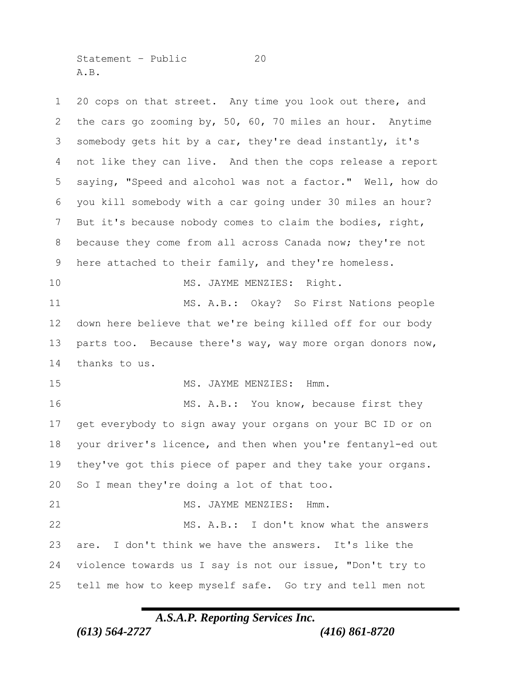Statement - Public 20 A.B.

 20 cops on that street. Any time you look out there, and the cars go zooming by, 50, 60, 70 miles an hour. Anytime somebody gets hit by a car, they're dead instantly, it's not like they can live. And then the cops release a report saying, "Speed and alcohol was not a factor." Well, how do you kill somebody with a car going under 30 miles an hour? But it's because nobody comes to claim the bodies, right, because they come from all across Canada now; they're not 9 here attached to their family, and they're homeless. 10 MS. JAYME MENZIES: Right. MS. A.B.: Okay? So First Nations people down here believe that we're being killed off for our body 13 parts too. Because there's way, way more organ donors now, thanks to us. 15 MS. JAYME MENZIES: Hmm. 16 MS. A.B.: You know, because first they get everybody to sign away your organs on your BC ID or on your driver's licence, and then when you're fentanyl-ed out they've got this piece of paper and they take your organs. So I mean they're doing a lot of that too. MS. JAYME MENZIES: Hmm. MS. A.B.: I don't know what the answers are. I don't think we have the answers. It's like the violence towards us I say is not our issue, "Don't try to tell me how to keep myself safe. Go try and tell men not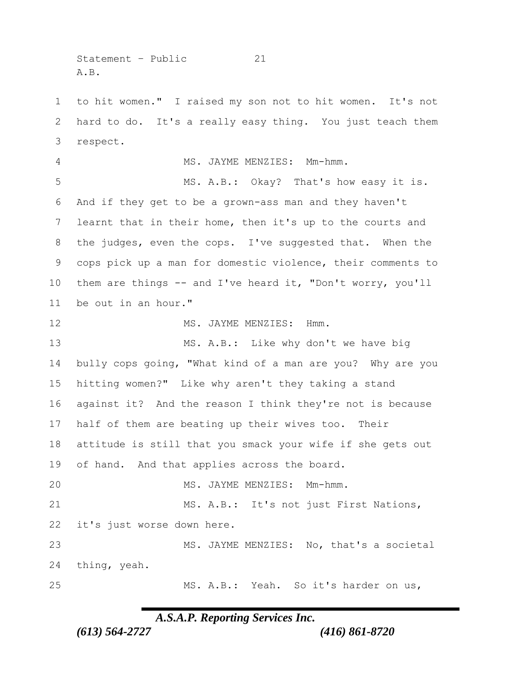Statement - Public 21 A.B.

 to hit women." I raised my son not to hit women. It's not hard to do. It's a really easy thing. You just teach them respect. MS. JAYME MENZIES: Mm-hmm. MS. A.B.: Okay? That's how easy it is. And if they get to be a grown-ass man and they haven't learnt that in their home, then it's up to the courts and the judges, even the cops. I've suggested that. When the cops pick up a man for domestic violence, their comments to them are things -- and I've heard it, "Don't worry, you'll be out in an hour." 12 MS. JAYME MENZIES: Hmm. MS. A.B.: Like why don't we have big bully cops going, "What kind of a man are you? Why are you hitting women?" Like why aren't they taking a stand against it? And the reason I think they're not is because half of them are beating up their wives too. Their attitude is still that you smack your wife if she gets out of hand. And that applies across the board. MS. JAYME MENZIES: Mm-hmm. MS. A.B.: It's not just First Nations, it's just worse down here. MS. JAYME MENZIES: No, that's a societal thing, yeah. MS. A.B.: Yeah. So it's harder on us,

*A.S.A.P. Reporting Services Inc.*

*(613) 564-2727 (416) 861-8720*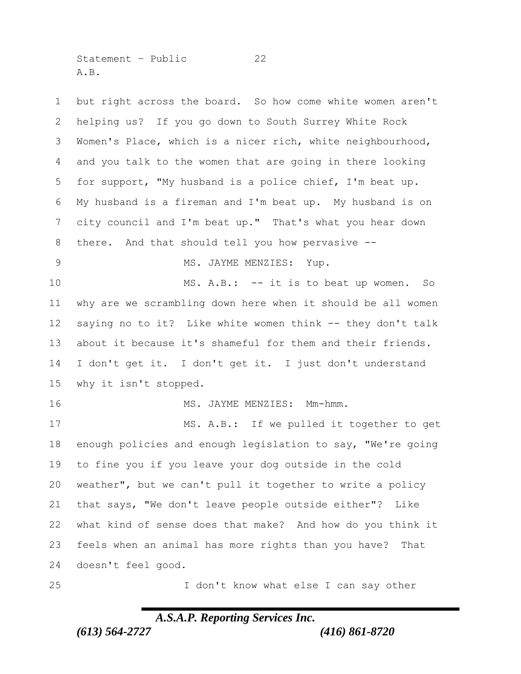Statement - Public 22 A.B.

 but right across the board. So how come white women aren't helping us? If you go down to South Surrey White Rock Women's Place, which is a nicer rich, white neighbourhood, and you talk to the women that are going in there looking for support, "My husband is a police chief, I'm beat up. My husband is a fireman and I'm beat up. My husband is on city council and I'm beat up." That's what you hear down there. And that should tell you how pervasive -- 9 MS. JAYME MENZIES: Yup. MS. A.B.: -- it is to beat up women. So why are we scrambling down here when it should be all women saying no to it? Like white women think -- they don't talk about it because it's shameful for them and their friends. I don't get it. I don't get it. I just don't understand why it isn't stopped. 16 MS. JAYME MENZIES: Mm-hmm. 17 MS. A.B.: If we pulled it together to get enough policies and enough legislation to say, "We're going to fine you if you leave your dog outside in the cold weather", but we can't pull it together to write a policy that says, "We don't leave people outside either"? Like what kind of sense does that make? And how do you think it feels when an animal has more rights than you have? That doesn't feel good. I don't know what else I can say other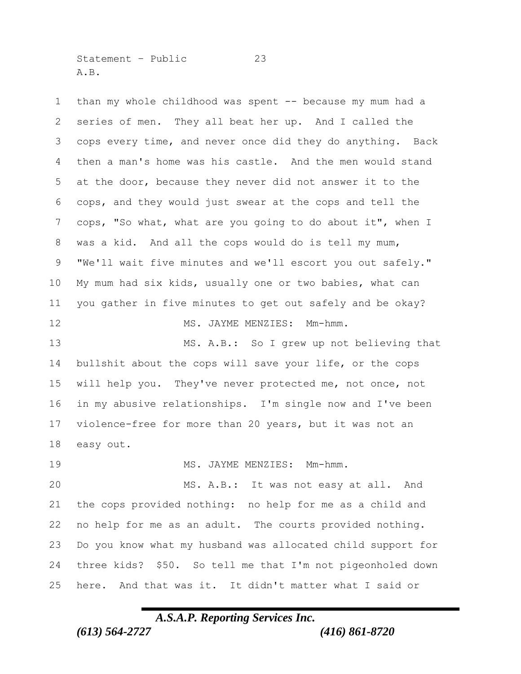Statement – Public 23 A.B.

 than my whole childhood was spent -- because my mum had a series of men. They all beat her up. And I called the cops every time, and never once did they do anything. Back then a man's home was his castle. And the men would stand at the door, because they never did not answer it to the cops, and they would just swear at the cops and tell the cops, "So what, what are you going to do about it", when I was a kid. And all the cops would do is tell my mum, "We'll wait five minutes and we'll escort you out safely." My mum had six kids, usually one or two babies, what can you gather in five minutes to get out safely and be okay? 12 MS. JAYME MENZIES: Mm-hmm. MS. A.B.: So I grew up not believing that bullshit about the cops will save your life, or the cops will help you. They've never protected me, not once, not in my abusive relationships. I'm single now and I've been violence-free for more than 20 years, but it was not an easy out. 19 MS. JAYME MENZIES: Mm-hmm. MS. A.B.: It was not easy at all. And the cops provided nothing: no help for me as a child and no help for me as an adult. The courts provided nothing. Do you know what my husband was allocated child support for three kids? \$50. So tell me that I'm not pigeonholed down here. And that was it. It didn't matter what I said or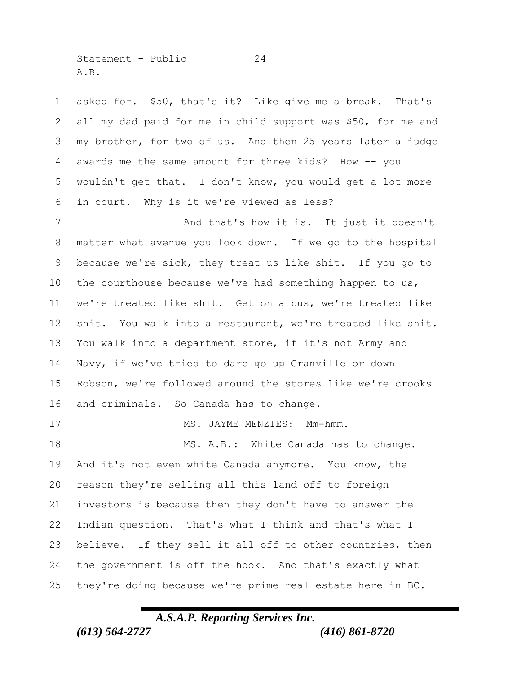Statement – Public 24 A.B.

 asked for. \$50, that's it? Like give me a break. That's all my dad paid for me in child support was \$50, for me and my brother, for two of us. And then 25 years later a judge awards me the same amount for three kids? How -- you wouldn't get that. I don't know, you would get a lot more in court. Why is it we're viewed as less?

7 And that's how it is. It just it doesn't matter what avenue you look down. If we go to the hospital because we're sick, they treat us like shit. If you go to the courthouse because we've had something happen to us, we're treated like shit. Get on a bus, we're treated like shit. You walk into a restaurant, we're treated like shit. You walk into a department store, if it's not Army and Navy, if we've tried to dare go up Granville or down Robson, we're followed around the stores like we're crooks and criminals. So Canada has to change.

18 MS. A.B.: White Canada has to change. And it's not even white Canada anymore. You know, the reason they're selling all this land off to foreign investors is because then they don't have to answer the Indian question. That's what I think and that's what I believe. If they sell it all off to other countries, then the government is off the hook. And that's exactly what they're doing because we're prime real estate here in BC.

17 MS. JAYME MENZIES: Mm-hmm.

## *A.S.A.P. Reporting Services Inc.*

*(613) 564-2727 (416) 861-8720*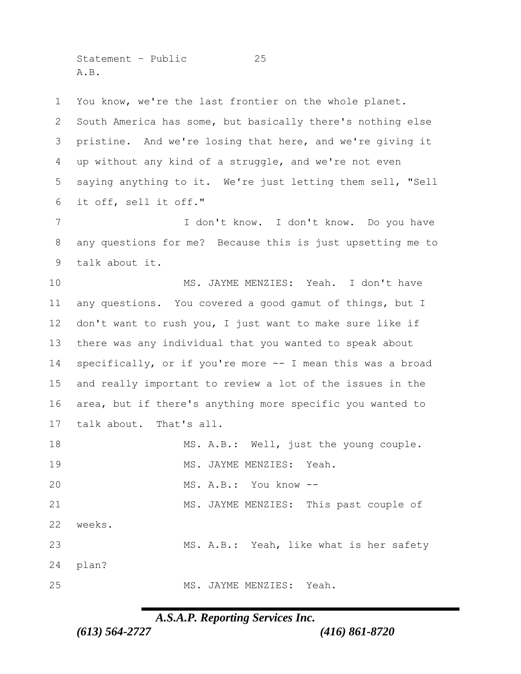Statement – Public 25 A.B.

 You know, we're the last frontier on the whole planet. South America has some, but basically there's nothing else pristine. And we're losing that here, and we're giving it up without any kind of a struggle, and we're not even saying anything to it. We're just letting them sell, "Sell it off, sell it off." I don't know. I don't know. Do you have any questions for me? Because this is just upsetting me to talk about it. 10 MS. JAYME MENZIES: Yeah. I don't have any questions. You covered a good gamut of things, but I don't want to rush you, I just want to make sure like if there was any individual that you wanted to speak about specifically, or if you're more -- I mean this was a broad and really important to review a lot of the issues in the area, but if there's anything more specific you wanted to talk about. That's all. 18 MS. A.B.: Well, just the young couple. 19 MS. JAYME MENZIES: Yeah. MS. A.B.: You know -- MS. JAYME MENZIES: This past couple of weeks. MS. A.B.: Yeah, like what is her safety plan? 25 MS. JAYME MENZIES: Yeah.

*A.S.A.P. Reporting Services Inc.*

*(613) 564-2727 (416) 861-8720*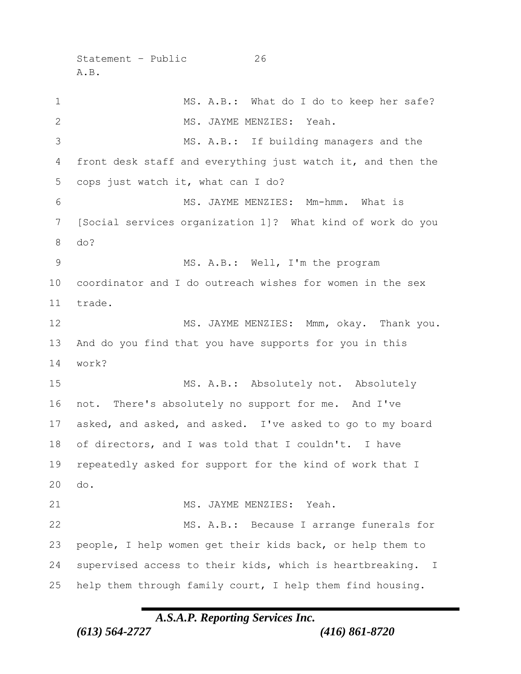```
Statement - Public 26
A.B.
```
1 MS. A.B.: What do I do to keep her safe? 2 MS. JAYME MENZIES: Yeah. MS. A.B.: If building managers and the front desk staff and everything just watch it, and then the cops just watch it, what can I do? MS. JAYME MENZIES: Mm-hmm. What is [Social services organization 1]? What kind of work do you do? MS. A.B.: Well, I'm the program coordinator and I do outreach wishes for women in the sex trade. 12 MS. JAYME MENZIES: Mmm, okay. Thank you. And do you find that you have supports for you in this work? MS. A.B.: Absolutely not. Absolutely not. There's absolutely no support for me. And I've asked, and asked, and asked. I've asked to go to my board of directors, and I was told that I couldn't. I have repeatedly asked for support for the kind of work that I do. MS. JAYME MENZIES: Yeah. MS. A.B.: Because I arrange funerals for people, I help women get their kids back, or help them to supervised access to their kids, which is heartbreaking. I help them through family court, I help them find housing.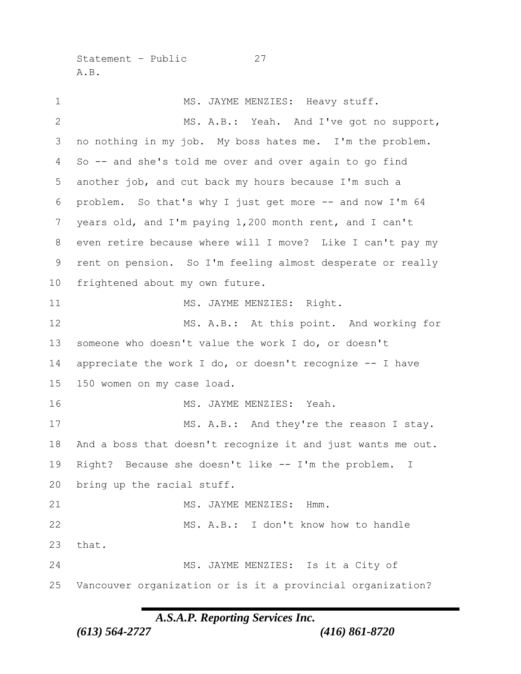Statement – Public 27 A.B.

1 MS. JAYME MENZIES: Heavy stuff. MS. A.B.: Yeah. And I've got no support, no nothing in my job. My boss hates me. I'm the problem. So -- and she's told me over and over again to go find another job, and cut back my hours because I'm such a problem. So that's why I just get more -- and now I'm 64 years old, and I'm paying 1,200 month rent, and I can't even retire because where will I move? Like I can't pay my rent on pension. So I'm feeling almost desperate or really frightened about my own future. 11 MS. JAYME MENZIES: Right. 12 MS. A.B.: At this point. And working for someone who doesn't value the work I do, or doesn't 14 appreciate the work I do, or doesn't recognize -- I have 150 women on my case load. 16 MS. JAYME MENZIES: Yeah. 17 MS. A.B.: And they're the reason I stay. And a boss that doesn't recognize it and just wants me out. Right? Because she doesn't like -- I'm the problem. I bring up the racial stuff. 21 MS. JAYME MENZIES: Hmm. MS. A.B.: I don't know how to handle that. MS. JAYME MENZIES: Is it a City of Vancouver organization or is it a provincial organization?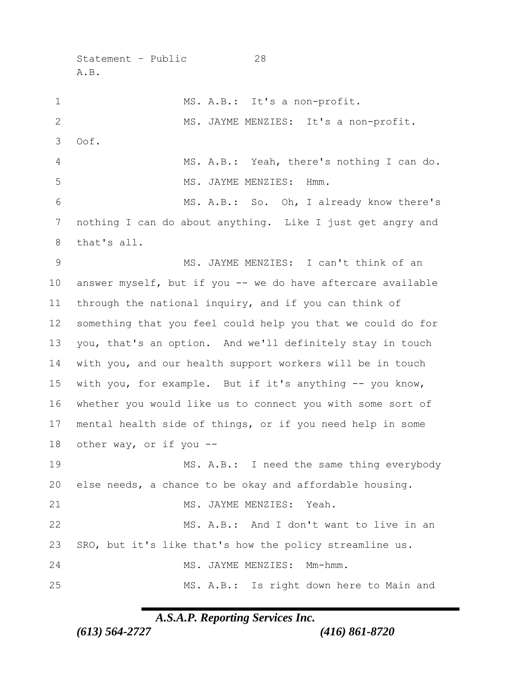Statement – Public 28 A.B.

1 MS. A.B.: It's a non-profit. MS. JAYME MENZIES: It's a non-profit. Oof. MS. A.B.: Yeah, there's nothing I can do. 5 MS. JAYME MENZIES: Hmm. MS. A.B.: So. Oh, I already know there's nothing I can do about anything. Like I just get angry and that's all. MS. JAYME MENZIES: I can't think of an answer myself, but if you -- we do have aftercare available through the national inquiry, and if you can think of something that you feel could help you that we could do for you, that's an option. And we'll definitely stay in touch with you, and our health support workers will be in touch with you, for example. But if it's anything -- you know, whether you would like us to connect you with some sort of mental health side of things, or if you need help in some other way, or if you -- MS. A.B.: I need the same thing everybody else needs, a chance to be okay and affordable housing. MS. JAYME MENZIES: Yeah. MS. A.B.: And I don't want to live in an SRO, but it's like that's how the policy streamline us. MS. JAYME MENZIES: Mm-hmm. MS. A.B.: Is right down here to Main and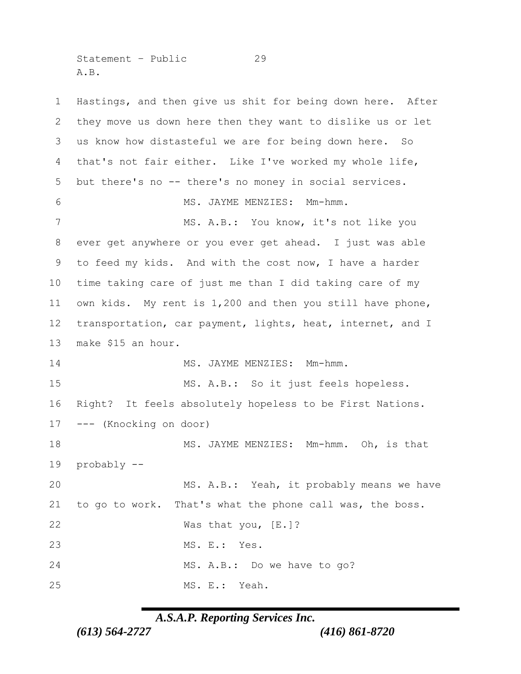Statement – Public 29 A.B.

 Hastings, and then give us shit for being down here. After they move us down here then they want to dislike us or let us know how distasteful we are for being down here. So that's not fair either. Like I've worked my whole life, but there's no -- there's no money in social services. MS. JAYME MENZIES: Mm-hmm. MS. A.B.: You know, it's not like you ever get anywhere or you ever get ahead. I just was able to feed my kids. And with the cost now, I have a harder time taking care of just me than I did taking care of my own kids. My rent is 1,200 and then you still have phone, transportation, car payment, lights, heat, internet, and I make \$15 an hour. MS. JAYME MENZIES: Mm-hmm. MS. A.B.: So it just feels hopeless. Right? It feels absolutely hopeless to be First Nations. --- (Knocking on door) MS. JAYME MENZIES: Mm-hmm. Oh, is that probably -- MS. A.B.: Yeah, it probably means we have to go to work. That's what the phone call was, the boss. 22 Was that you, [E.]? MS. E.: Yes. MS. A.B.: Do we have to go? MS. E.: Yeah.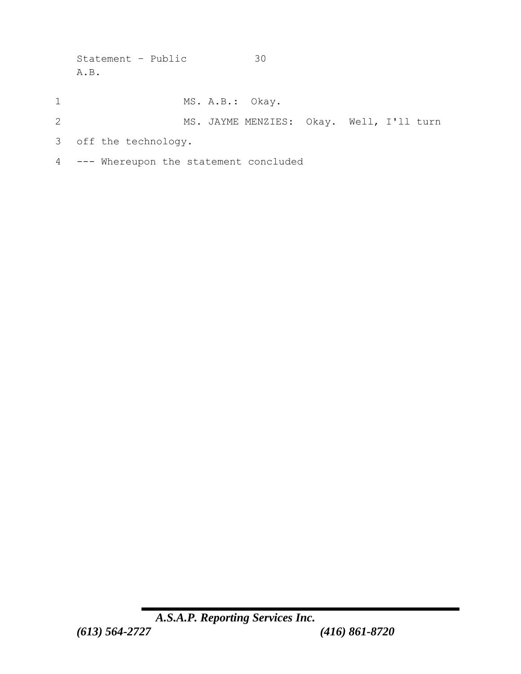Statement – Public 30 A.B.

- 1 MS. A.B.: Okay.
- 2 MS. JAYME MENZIES: Okay. Well, I'll turn
- 3 off the technology.
- 4 --- Whereupon the statement concluded